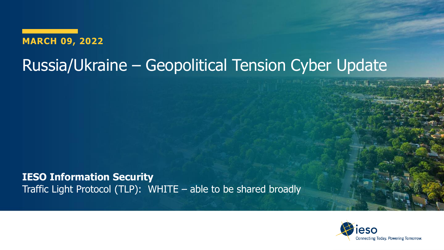**MARCH 09, 2022**

# Russia/Ukraine – Geopolitical Tension Cyber Update

**IESO Information Security** Traffic Light Protocol (TLP): WHITE – able to be shared broadly

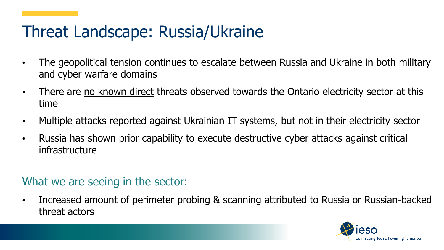# Threat Landscape: Russia/Ukraine

- The geopolitical tension continues to escalate between Russia and Ukraine in both military and cyber warfare domains
- There are no known direct threats observed towards the Ontario electricity sector at this time
- Multiple attacks reported against Ukrainian IT systems, but not in their electricity sector
- Russia has shown prior capability to execute destructive cyber attacks against critical infrastructure

#### What we are seeing in the sector:

• Increased amount of perimeter probing & scanning attributed to Russia or Russian-backed threat actors

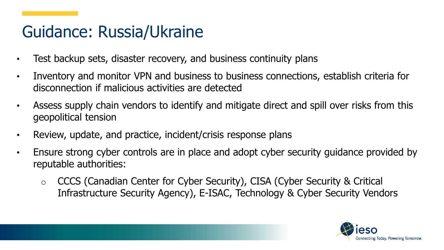# Guidance: Russia/Ukraine

- Test backup sets, disaster recovery, and business continuity plans
- Inventory and monitor VPN and business to business connections, establish criteria for disconnection if malicious activities are detected
- Assess supply chain vendors to identify and mitigate direct and spill over risks from this geopolitical tension
- Review, update, and practice, incident/crisis response plans
- Ensure strong cyber controls are in place and adopt cyber security guidance provided by reputable authorities:
	- o CCCS (Canadian Center for Cyber Security), CISA (Cyber Security & Critical Infrastructure Security Agency), E-ISAC, Technology & Cyber Security Vendors